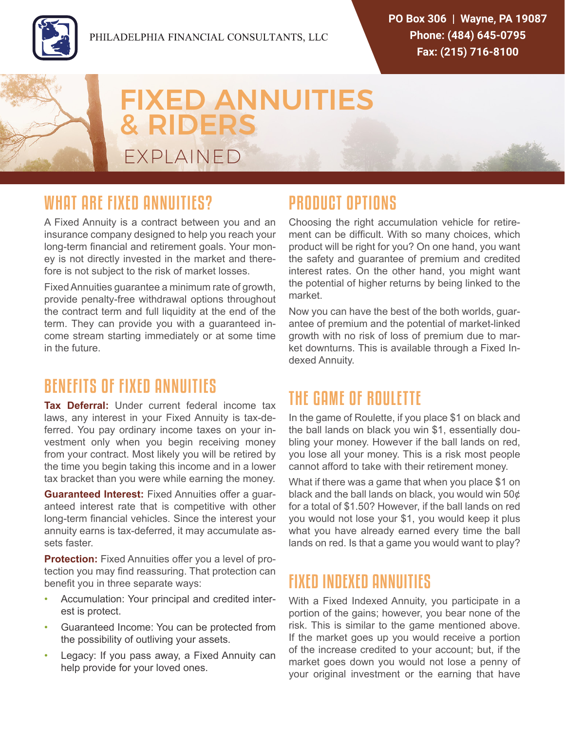

# FIXED ANNUITIES & RIDERS EXPLAINED

#### WHAT ARE FIXED ANNUITIES?

A Fixed Annuity is a contract between you and an insurance company designed to help you reach your long-term financial and retirement goals. Your money is not directly invested in the market and therefore is not subject to the risk of market losses.

Fixed Annuities guarantee a minimum rate of growth, provide penalty-free withdrawal options throughout the contract term and full liquidity at the end of the term. They can provide you with a guaranteed income stream starting immediately or at some time in the future.

#### BENEFITS OF FIXED ANNUITIES

**Tax Deferral:** Under current federal income tax laws, any interest in your Fixed Annuity is tax-deferred. You pay ordinary income taxes on your investment only when you begin receiving money from your contract. Most likely you will be retired by the time you begin taking this income and in a lower tax bracket than you were while earning the money.

**Guaranteed Interest:** Fixed Annuities offer a guaranteed interest rate that is competitive with other long-term financial vehicles. Since the interest your annuity earns is tax-deferred, it may accumulate assets faster.

**Protection:** Fixed Annuities offer you a level of protection you may find reassuring. That protection can benefit you in three separate ways:

- Accumulation: Your principal and credited interest is protect.
- Guaranteed Income: You can be protected from the possibility of outliving your assets.
- Legacy: If you pass away, a Fixed Annuity can help provide for your loved ones.

## PRODUCT OPTIONS

Choosing the right accumulation vehicle for retirement can be difficult. With so many choices, which product will be right for you? On one hand, you want the safety and guarantee of premium and credited interest rates. On the other hand, you might want the potential of higher returns by being linked to the market.

Now you can have the best of the both worlds, guarantee of premium and the potential of market-linked growth with no risk of loss of premium due to market downturns. This is available through a Fixed Indexed Annuity.

## THE GAME OF ROULETTE

In the game of Roulette, if you place \$1 on black and the ball lands on black you win \$1, essentially doubling your money. However if the ball lands on red, you lose all your money. This is a risk most people cannot afford to take with their retirement money.

What if there was a game that when you place \$1 on black and the ball lands on black, you would win 50¢ for a total of \$1.50? However, if the ball lands on red you would not lose your \$1, you would keep it plus what you have already earned every time the ball lands on red. Is that a game you would want to play?

#### FIXED INDEXED ANNUITIES

With a Fixed Indexed Annuity, you participate in a portion of the gains; however, you bear none of the risk. This is similar to the game mentioned above. If the market goes up you would receive a portion of the increase credited to your account; but, if the market goes down you would not lose a penny of your original investment or the earning that have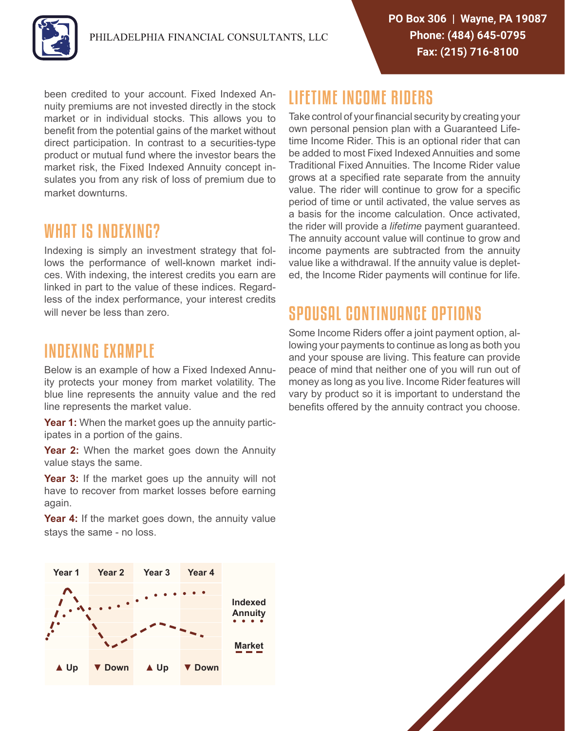

been credited to your account. Fixed Indexed Annuity premiums are not invested directly in the stock market or in individual stocks. This allows you to benefit from the potential gains of the market without direct participation. In contrast to a securities-type product or mutual fund where the investor bears the market risk, the Fixed Indexed Annuity concept insulates you from any risk of loss of premium due to market downturns.

#### WHAT IS INDEXING?

Indexing is simply an investment strategy that follows the performance of well-known market indices. With indexing, the interest credits you earn are linked in part to the value of these indices. Regardless of the index performance, your interest credits will never be less than zero.

#### INDEXING EXAMPLE

Below is an example of how a Fixed Indexed Annuity protects your money from market volatility. The blue line represents the annuity value and the red line represents the market value.

**Year 1:** When the market goes up the annuity participates in a portion of the gains.

**Year 2:** When the market goes down the Annuity value stays the same.

**Year 3:** If the market goes up the annuity will not have to recover from market losses before earning again.

**Year 4:** If the market goes down, the annuity value stays the same - no loss.



# LIFETIME INCOME RIDERS

Take control of your financial security by creating your own personal pension plan with a Guaranteed Lifetime Income Rider. This is an optional rider that can be added to most Fixed Indexed Annuities and some Traditional Fixed Annuities. The Income Rider value grows at a specified rate separate from the annuity value. The rider will continue to grow for a specific period of time or until activated, the value serves as a basis for the income calculation. Once activated, the rider will provide a *lifetime* payment guaranteed. The annuity account value will continue to grow and income payments are subtracted from the annuity value like a withdrawal. If the annuity value is depleted, the Income Rider payments will continue for life.

# SPOUSAL CONTINUANCE OPTIONS

Some Income Riders offer a joint payment option, allowing your payments to continue as long as both you and your spouse are living. This feature can provide peace of mind that neither one of you will run out of money as long as you live. Income Rider features will vary by product so it is important to understand the benefits offered by the annuity contract you choose.